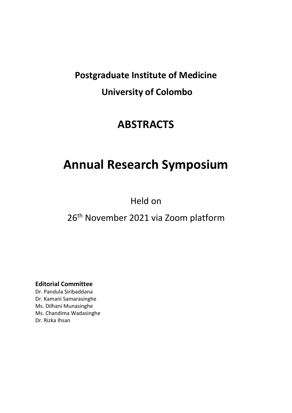# **Postgraduate Institute of Medicine University of Colombo**

## **ABSTRACTS**

# **Annual Research Symposium**

Held on

### 26<sup>th</sup> November 2021 via Zoom platform

**Editorial Committee**

Dr. Pandula Siribaddana Dr. Kamani Samarasinghe Ms. Dilhani Munasinghe Ms. Chandima Wadasinghe Dr. Rizka Ihsan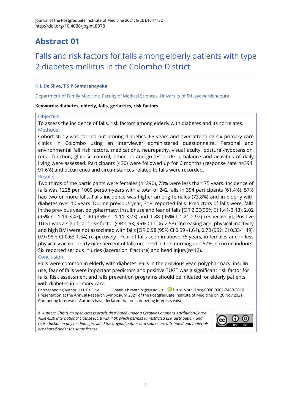### Falls and risk factors for falls among elderly patients with type 2 diabetes mellitus in the Colombo District

#### **H L De Silva, T S P Samaranayaka**

Department of Family Medicine, Faculty of Medical Sciences, University of Sri Jayewardenepura

#### **Keywords: diabetes, elderly, falls, geriatrics, risk factors**

#### **Objective**

To assess the incidence of falls, risk factors among elderly with diabetes and its correlates. Methods

Cohort study was carried out among diabetics, 65 years and over attending six primary care clinics in Colombo using an interviewer administered questionnaire. Personal and environmental fall risk factors, medications, neuropathy, visual acuity, postural-hypotension, renal function, glucose control, timed-up-and-go-test (TUGT), balance and activities of daily living were assessed. Participants (430) were followed up for 6 months (response rate n=394, 91.6%) and occurrence and circumstances related to falls were recorded.

#### Results

Two thirds of the participants were females (n=290), 78% were less than 75 years. Incidence of falls was 1228 per 1000 person-years with a total of 242 falls in 394 participants (61.4%), 57% had two or more falls. Falls incidence was higher among females (73.8%) and in elderly with diabetes over 10 years. During previous year, 31% reported falls. Predictors of falls were, falls in the previous year, polypharmacy, insulin use and fear of falls [OR 2.20(95% CI 1.41-3.43), 2.02 (95% CI 1.19-3.43), 1.90 (95% CI 1.11-3.23) and 1.88 (95%CI 1.21-2.92) respectively]. Positive TUGT was a significant risk factor (OR 1.63; 95% CI 1.06-2.53). Increasing age, physical inactivity and high BMI were not associated with falls [OR 0.98 (95% CI 0.59 -1.64), 0.70 (95% CI 0.33-1.49), 0.9 (95% CI 0.63-1.54) respectively]. Fear of falls seen in above 75 years, in females and in less physically active. Thirty nine percent of falls occurred in the morning and 57% occurred indoors. Six reported serious injuries (laceration, fracture) and head injury(n=12).

#### Conclusion

Falls were common in elderly with diabetes. Falls in the previous year, polypharmacy, insulin use, fear of falls were important predictors and positive TUGT was a significant risk factor for falls. Risk assessment and falls prevention programs should be initiated for elderly patients with diabetes in primary care.

Corresponding Author: H L De Silva Email: [< hiranthini@sjp.ac.lk](mailto:hiranthini@sjp.ac.lk) > D <https://orcid.org/0000-0002-2460-2810> Presentation at the Annual Research Symposium 2021 of the Postgraduate Institute of Medicine on 26 Nov 2021. Competing Interests: Authors have declared that no competing interests exist.

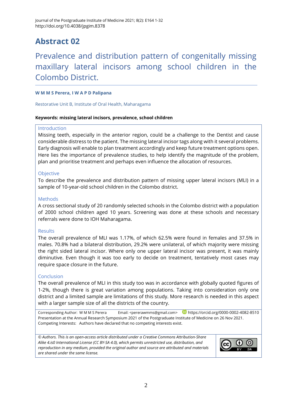### Prevalence and distribution pattern of congenitally missing maxillary lateral incisors among school children in the Colombo District.

#### **W M M S Perera, I W A P D Palipana**

Restorative Unit B, Institute of Oral Health, Maharagama

#### **Keywords: missing lateral incisors, prevalence, school children**

#### Introduction

Missing teeth, especially in the anterior region, could be a challenge to the Dentist and cause considerable distress to the patient. The missing lateral incisor tags along with it several problems. Early diagnosis will enable to plan treatment accordingly and keep future treatment options open. Here lies the importance of prevalence studies, to help identify the magnitude of the problem, plan and prioritise treatment and perhaps even influence the allocation of resources.

#### Objective

To describe the prevalence and distribution pattern of missing upper lateral incisors (MLI) in a sample of 10-year-old school children in the Colombo district.

#### Methods

A cross sectional study of 20 randomly selected schools in the Colombo district with a population of 2000 school children aged 10 years. Screening was done at these schools and necessary referrals were done to IOH Maharagama.

#### **Results**

The overall prevalence of MLI was 1.17%, of which 62.5% were found in females and 37.5% in males. 70.8% had a bilateral distribution, 29.2% were unilateral, of which majority were missing the right sided lateral incisor. Where only one upper lateral incisor was present, it was mainly diminutive. Even though it was too early to decide on treatment, tentatively most cases may require space closure in the future.

#### Conclusion

The overall prevalence of MLI in this study too was in accordance with globally quoted figures of 1-2%, though there is great variation among populations. Taking into consideration only one district and a limited sample are limitations of this study. More research is needed in this aspect with a larger sample size of all the districts of the country.

Corresponding Author: W M M S Perera Email: [<pererawmms@gmail.com>](mailto:pererawmms@gmail.com) **D** <https://orcid.org/0000-0002-4082-8510> Presentation at the Annual Research Symposium 2021 of the Postgraduate Institute of Medicine on 26 Nov 2021. Competing Interests: Authors have declared that no competing interests exist.

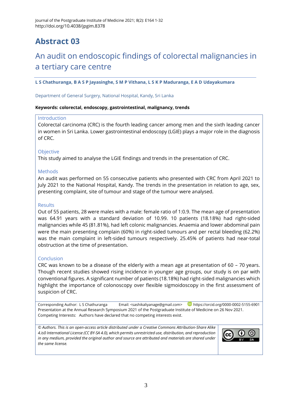### An audit on endoscopic findings of colorectal malignancies in a tertiary care centre

**L S Chathuranga, B A S P Jayasinghe, S M P Vithana, L S K P Maduranga, E A D Udayakumara**

Department of General Surgery, National Hospital, Kandy, Sri Lanka

#### **Keywords: colorectal, endoscopy, gastrointestinal, malignancy, trends**

#### Introduction

Colorectal carcinoma (CRC) is the fourth leading cancer among men and the sixth leading cancer in women in Sri Lanka. Lower gastrointestinal endoscopy (LGIE) plays a major role in the diagnosis of CRC.

#### **Objective**

This study aimed to analyse the LGIE findings and trends in the presentation of CRC.

#### **Methods**

An audit was performed on 55 consecutive patients who presented with CRC from April 2021 to July 2021 to the National Hospital, Kandy. The trends in the presentation in relation to age, sex, presenting complaint, site of tumour and stage of the tumour were analysed.

#### Results

Out of 55 patients, 28 were males with a male: female ratio of 1:0.9. The mean age of presentation was 64.91 years with a standard deviation of 10.99. 10 patients (18.18%) had right-sided malignancies while 45 (81.81%), had left colonic malignancies. Anaemia and lower abdominal pain were the main presenting complain (60%) in right-sided tumours and per rectal bleeding (62.2%) was the main complaint in left-sided tumours respectively. 25.45% of patients had near-total obstruction at the time of presentation.

#### Conclusion

CRC was known to be a disease of the elderly with a mean age at presentation of 60 – 70 years. Though recent studies showed rising incidence in younger age groups, our study is on par with conventional figures. A significant number of patients (18.18%) had right-sided malignancies which highlight the importance of colonoscopy over flexible sigmoidoscopy in the first assessment of suspicion of CRC.

Corresponding Author: L S Chathuranga Email: [<sashikaliyanage@gmail.com>](mailto:sashikaliyanage@gmail.com) D<https://orcid.org/0000-0002-5155-6901> Presentation at the Annual Research Symposium 2021 of the Postgraduate Institute of Medicine on 26 Nov 2021. Competing Interests: Authors have declared that no competing interests exist.

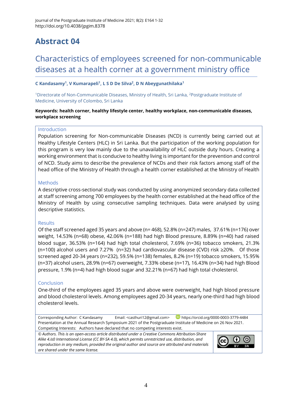### Characteristics of employees screened for non-communicable diseases at a health corner at a government ministry office

#### **C Kandasamy<sup>1</sup> , V Kumarapeli<sup>1</sup> , L S D De Silva<sup>2</sup> , D N Abeygunathilaka<sup>1</sup>**

<sup>1</sup>Directorate of Non-Communicable Diseases, Ministry of Health, Sri Lanka, <sup>2</sup>Postgraduate Institute of Medicine, University of Colombo, Sri Lanka

#### **Keywords: health corner, healthy lifestyle center, healthy workplace, non-communicable diseases, workplace screening**

#### Introduction

Population screening for Non-communicable Diseases (NCD) is currently being carried out at Healthy Lifestyle Centers (HLC) in Sri Lanka. But the participation of the working population for this program is very low mainly due to the unavailability of HLC outside duty hours. Creating a working environment that is conducive to healthy living is important for the prevention and control of NCD. Study aims to describe the prevalence of NCDs and their risk factors among staff of the head office of the Ministry of Health through a health corner established at the Ministry of Health

#### Methods

A descriptive cross-sectional study was conducted by using anonymized secondary data collected at staff screening among 700 employees by the health corner established at the head office of the Ministry of Health by using consecutive sampling techniques. Data were analysed by using descriptive statistics.

#### **Results**

Of the staff screened aged 35 years and above (n= 468), 52.8% (n=247) males, 37.61% (n=176) over weight, 14.53% (n=68) obese, 42.06% (n=188) had high Blood pressure, 8.89% (n=40) had raised blood sugar, 36.53% (n=164) had high total cholesterol, 7.69% (n=36) tobacco smokers, 21.3% (n=100) alcohol users and 7.27% (n=32) had cardiovascular disease (CVD) risk ≥20%. Of those screened aged 20-34 years (n=232), 59.5% (n=138) females, 8.2% (n=19) tobacco smokers, 15.95% (n=37) alcohol users, 28.9% (n=67) overweight, 7.33% obese (n=17), 16.43% (n=34) had high Blood pressure, 1.9% (n=4) had high blood sugar and 32.21% (n=67) had high total cholesterol.

#### Conclusion

One-third of the employees aged 35 years and above were overweight, had high blood pressure and blood cholesterol levels. Among employees aged 20-34 years, nearly one-third had high blood cholesterol levels.

Corresponding Author: C Kandasamy Email: [<casthuri12@gmail.com>](mailto:casthuri12@gmail.com) <https://orcid.org/0000-0003-3779-4484> Presentation at the Annual Research Symposium 2021 of the Postgraduate Institute of Medicine on 26 Nov 2021.

Competing Interests: Authors have declared that no competing interests exist.

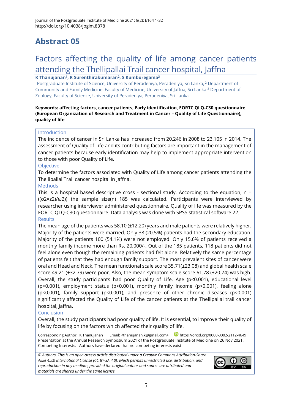### Factors affecting the quality of life among cancer patients attending the Thellipallai Trail cancer hospital, Jaffna

**K Thanujanan<sup>1</sup> , R Surenthirakumaran<sup>2</sup> , S Kumburegama<sup>3</sup>**

<sup>1</sup>Postgraduate Institute of Science, University of Peradeniya, Peradeniya, Sri Lanka, <sup>2</sup> Department of Community and Family Medicine, Faculty of Medicine, University of Jaffna, Sri Lanka <sup>3</sup> Department of Zoology, Faculty of Science, University of Peradeniya, Peradeniya, Sri Lanka

#### **Keywords: affecting factors, cancer patients, Early identification, EORTC QLQ-C30 questionnaire (European Organization of Research and Treatment in Cancer – Quality of Life Questionnaire), quality of life**

#### Introduction

The incidence of cancer in Sri Lanka has increased from 20,246 in 2008 to 23,105 in 2014. The assessment of Quality of Life and its contributing factors are important in the management of cancer patients because early identification may help to implement appropriate intervention to those with poor Quality of Life.

#### Objective

To determine the factors associated with Quality of Life among cancer patients attending the Thellipallai Trail cancer hospital in Jaffna.

#### Methods

This is a hospital based descriptive cross - sectional study. According to the equation,  $n =$  $((\sigma 2 \times z2)/\omega2)$ ) the sample size(n) 185 was calculated. Participants were interviewed by researcher using interviewer administered questionnaire. Quality of life was measured by the EORTC QLQ-C30 questionnaire. Data analysis was done with SPSS statistical software 22. **Results** 

The mean age of the patients was 58.10 (±12.20) years and male patients were relatively higher. Majority of the patients were married. Only 38 (20.5%) patients had the secondary education. Majority of the patients 100 (54.1%) were not employed. Only 15.6% of patients received a monthly family income more than Rs. 20,000/-. Out of the 185 patients, 118 patients did not feel alone even though the remaining patients had felt alone. Relatively the same percentage of patients felt that they had enough family support. The most prevalent sites of cancer were oral and Head and Neck. The mean functional scale score 35.71(±23.08) and global health scale score 49.21 (±32.79) were poor. Also, the mean symptom scale score 61.78 (±20.74) was high. Overall, the study participants had poor Quality of Life. Age (p<0.001), educational level (p<0.001), employment status (p<0.001), monthly family income (p<0.001), feeling alone (p<0.001), family support (p<0.001), and presence of other chronic diseases (p<0.001) significantly affected the Quality of Life of the cancer patients at the Thellipallai trail cancer hospital, Jaffna.

#### Conclusion

Overall, the study participants had poor quality of life. It is essential, to improve their quality of life by focusing on the factors which affected their quality of life.

Corresponding Author: K Thanujanan Email: [<thanujanan.k@gmail.com>](mailto:thanujanan.k@gmail.com) <https://orcid.org/0000-0002-2112-4649> Presentation at the Annual Research Symposium 2021 of the Postgraduate Institute of Medicine on 26 Nov 2021. Competing Interests: Authors have declared that no competing interests exist.

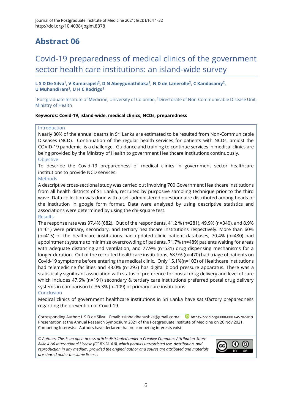### Covid-19 preparedness of medical clinics of the government sector health care institutions: an island-wide survey

**L S D De Silva<sup>1</sup> , V Kumarapeli<sup>2</sup> , D N Abeygunathilaka<sup>2</sup> , N D de Lanerolle<sup>2</sup> , C Kandasamy<sup>2</sup> , U Muhandiram<sup>2</sup> , U H C Rodrigo<sup>2</sup>**

<sup>1</sup>Postgraduate Institute of Medicine, University of Colombo, <sup>2</sup>Directorate of Non-Communicable Disease Unit, Ministry of Health

#### **Keywords: Covid-19, island-wide, medical clinics, NCDs, preparedness**

#### Introduction

Nearly 80% of the annual deaths in Sri Lanka are estimated to be resulted from Non-Communicable Diseases (NCD). Continuation of the regular health services for patients with NCDs, amidst the COVID-19 pandemic, is a challenge. Guidance and training to continue services in medical clinics are being provided by the Ministry of Health to government Healthcare institutions continuously. **Objective** 

To describe the Covid-19 preparedness of medical clinics in government sector healthcare institutions to provide NCD services.

#### Methods

A descriptive cross-sectional study was carried out involving 700 Government Healthcare institutions from all health districts of Sri Lanka, recruited by purposive sampling technique prior to the third wave. Data collection was done with a self-administered questionnaire distributed among heads of the institution in google form format. Data were analysed by using descriptive statistics and associations were determined by using the chi-square test.

#### Results

The response rate was 97.4% (682). Out of the respondents, 41.2 % (n=281), 49.9% (n=340), and 8.9% (n=61) were primary, secondary, and tertiary healthcare institutions respectively. More than 60% (n=415) of the healthcare institutions had updated clinic patient databases, 70.4% (n=480) had appointment systems to minimize overcrowding of patients, 71.7% (n=489) patients waiting for areas with adequate distancing and ventilation, and 77.9% (n=531) drug dispensing mechanisms for a longer duration. Out of the recruited healthcare institutions, 68.9% (n=470) had triage of patients on Covid-19 symptoms before entering the medical clinic. Only 15.1%(n=103) of Healthcare Institutions had telemedicine facilities and 43.0% (n=293) has digital blood pressure apparatus. There was a statistically significant association with status of preference for postal drug delivery and level of care which includes 47.6% (n=191) secondary & tertiary care institutions preferred postal drug delivery systems in comparison to 36.3% (n=109) of primary care institutions.

### Conclusion

Medical clinics of government healthcare institutions in Sri Lanka have satisfactory preparedness regarding the prevention of Covid-19.

Corresponding Author: L S D de Silva Email: [<sinha.dhanushka@gmail.com>](mailto:sinha.dhanushka@gmail.com) <https://orcid.org/0000-0003-4578-5019> Presentation at the Annual Research Symposium 2021 of the Postgraduate Institute of Medicine on 26 Nov 2021. Competing Interests: Authors have declared that no competing interests exist.

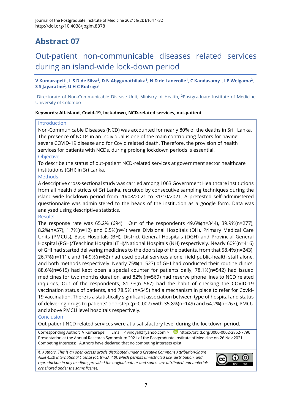### Out-patient non-communicable diseases related services during an island-wide lock-down period

**V Kumarapeli<sup>1</sup> , L S D de Silva<sup>2</sup> , D N Abygunathilaka<sup>1</sup> , N D de Lanerolle<sup>1</sup> , C Kandasamy<sup>1</sup> , I P Welgama<sup>2</sup> , S S Jayaratne<sup>2</sup> , U H C Rodrigo<sup>1</sup>**

<sup>1</sup>Directorate of Non-Communicable Disease Unit, Ministry of Health, <sup>2</sup>Postgraduate Institute of Medicine, University of Colombo

#### **Keywords: All-island, Covid-19, lock-down, NCD-related services, out-patient**

#### Introduction

Non-Communicable Diseases (NCD) was accounted for nearly 80% of the deaths in Sri Lanka. The presence of NCDs in an individual is one of the main contributing factors for having severe COVID-19 disease and for Covid related death. Therefore, the provision of health services for patients with NCDs, during prolong lockdown periods is essential. **Objective** 

To describe the status of out-patient NCD-related services at government sector healthcare institutions (GHI) in Sri Lanka.

#### **Methods**

A descriptive cross-sectional study was carried among 1063 Government Healthcare institutions from all health districts of Sri Lanka, recruited by consecutive sampling techniques during the island-wide lockdown period from 20/08/2021 to 31/10/2021. A pretested self-administered questionnaire was administered to the heads of the institution as a google form. Data was analysed using descriptive statistics.

#### **Results**

The response rate was 65.2% (694). Out of the respondents 49.6%(n=344), 39.9%(n=277), 8.2%(n=57), 1.7%(n=12) and 0.5%(n=4) were Divisional Hospitals (DH), Primary Medical Care Units (PMCUs), Base Hospitals (BH), District General Hospitals (DGH) and Provincial General Hospital (PGH)/Teaching Hospital (TH)/National Hospitals (NH) respectively. Nearly 60%(n=416) of GHI had started delivering medicines to the doorstep of the patients, from that 58.4%(n=243), 26.7%(n=111), and 14.9%(n=62) had used postal services alone, field public-health staff alone, and both methods respectively. Nearly 75%(n=527) of GHI had conducted their routine clinics, 88.6%(n=615) had kept open a special counter for patients daily, 78.1%(n=542) had issued medicines for two months duration, and 82% (n=569) had reserve phone lines to NCD related inquiries. Out of the respondents, 81.7%(n=567) had the habit of checking the COVID-19 vaccination status of patients, and 78.5% (n=545) had a mechanism in place to refer for Covid-19 vaccination. There is a statistically significant association between type of hospital and status of delivering drugs to patients' doorstep (p=0.007) with 35.8%(n=149) and 64.2%(n=267), PMCU and above PMCU level hospitals respectively.

#### **Conclusion**

Out-patient NCD related services were at a satisfactory level during the lockdown period.

Corresponding Author: V Kumarapeli Email: [< vindyalk@yahoo.com](mailto:vindyalk@yahoo.com) > D <https://orcid.org/0000-0002-2852-7790> Presentation at the Annual Research Symposium 2021 of the Postgraduate Institute of Medicine on 26 Nov 2021. Competing Interests: Authors have declared that no competing interests exist.

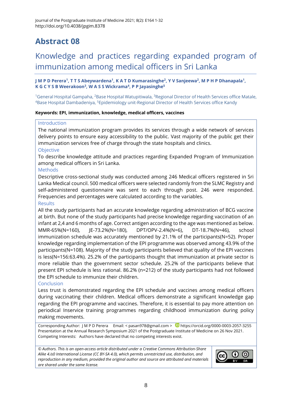### Knowledge and practices regarding expanded program of immunization among medical officers in Sri Lanka

**J M P D Perera<sup>1</sup> , T T S Abeywardena<sup>1</sup> , K A T D Kumarasinghe<sup>2</sup> , Y V Sanjeewa<sup>2</sup> , M P H P Dhanapala<sup>1</sup> , K G C Y S B Weerakoon<sup>3</sup> , W A S S Wickrama<sup>4</sup> , P P Jayasinghe<sup>5</sup>**

<sup>1</sup>General Hospital Gampaha, <sup>2</sup>Base Hospital Watupitiwala, <sup>3</sup>Regional Director of Health Services office Matale, <sup>4</sup>Base Hospital Dambadeniya, <sup>5</sup>Epidemiology unit-Regional Director of Health Services office Kandy

#### **Keywords: EPI, immunization, knowledge, medical officers, vaccines**

#### Introduction

The national immunization program provides its services through a wide network of services delivery points to ensure easy accessibility to the public. Vast majority of the public get their immunization services free of charge through the state hospitals and clinics.

#### **Objective**

To describe knowledge attitude and practices regarding Expanded Program of Immunization among medical officers in Sri Lanka.

#### Methods

Descriptive cross-sectional study was conducted among 246 Medical officers registered in Sri Lanka Medical council. 500 medical officers were selected randomly from the SLMC Registry and self-administered questionnaire was sent to each through post. 246 were responded. Frequencies and percentages were calculated according to the variables. Results

All the study participants had an accurate knowledge regarding administration of BCG vaccine at birth. But none of the study participants had precise knowledge regarding vaccination of an infant at 2,4 and 6 months of age. Correct antigen according to the age was mentioned as below. MMR-65%(N=160), JE-73.2%(N=180), DPT/OPV-2.4%(N=6), DT-18.7%(N=46), school immunization schedule was accurately mentioned by 21.1% of the participants(N=52). Proper knowledge regarding implementation of the EPI programme was observed among 43.9% of the participants(N=108). Majority of the study participants believed that quality of the EPI vaccines is less(N=156:63.4%). 25.2% of the participants thought that immunization at private sector is more reliable than the government sector schedule. 25.2% of the participants believe that present EPI schedule is less rational. 86.2% (n=212) of the study participants had not followed the EPI schedule to immunize their children.

#### Conclusion

Less trust is demonstrated regarding the EPI schedule and vaccines among medical officers during vaccinating their children. Medical officers demonstrate a significant knowledge gap regarding the EPI programme and vaccines. Therefore, it is essential to pay more attention on periodical Inservice training programmes regarding childhood immunization during policy making movements.

Corresponding Author: J M P D Perera Email: [< pasan978@gmail.com](mailto:pasan978@gmail.com) > D <https://orcid.org/0000-0003-2057-3255> Presentation at the Annual Research Symposium 2021 of the Postgraduate Institute of Medicine on 26 Nov 2021. Competing Interests: Authors have declared that no competing interests exist.

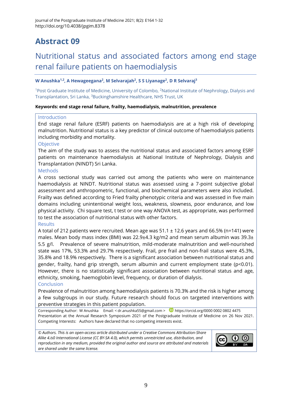### Nutritional status and associated factors among end stage renal failure patients on haemodialysis

#### **W Anushka1,2, A Hewageegana<sup>2</sup> , M Selvarajah<sup>2</sup> , S S Liyanage<sup>2</sup> , D R Selvaraj<sup>3</sup>**

<sup>1</sup>Post Graduate Institute of Medicine, University of Colombo, <sup>2</sup>National Institute of Nephrology, Dialysis and Transplantation, Sri Lanka, <sup>3</sup>Buckinghamshire Healthcare, NHS Trust, UK

#### **Keywords: end stage renal failure, frailty, haemodialysis, malnutrition, prevalence**

#### **Introduction**

End stage renal failure (ESRF) patients on haemodialysis are at a high risk of developing malnutrition. Nutritional status is a key predictor of clinical outcome of haemodialysis patients including morbidity and mortality.

#### **Objective**

The aim of the study was to assess the nutritional status and associated factors among ESRF patients on maintenance haemodialysis at National Institute of Nephrology, Dialysis and Transplantation (NINDT) Sri Lanka.

#### **Methods**

A cross sectional study was carried out among the patients who were on maintenance haemodialysis at NINDT. Nutritional status was assessed using a 7-point subjective global assessment and anthropometric, functional, and biochemical parameters were also included. Frailty was defined according to Fried frailty phenotypic criteria and was assessed in five main domains including unintentional weight loss, weakness, slowness, poor endurance, and low physical activity. Chi square test, t test or one way ANOVA test, as appropriate, was performed to test the association of nutritional status with other factors.

#### **Results**

A total of 212 patients were recruited. Mean age was  $51.1 \pm 12.6$  years and 66.5% (n=141) were males. Mean body mass index (BMI) was 22.9 $\pm$ 4.3 kg/m2 and mean serum albumin was 39.3 $\pm$ 5.5 g/l. Prevalence of severe malnutrition, mild-moderate malnutrition and well-nourished state was 17%, 53.3% and 29.7% respectively. Frail, pre frail and non-frail status were 45.3%, 35.8% and 18.9% respectively. There is a significant association between nutritional status and gender, frailty, hand grip strength, serum albumin and current employment state ( $p$ <0.01). However, there is no statistically significant association between nutritional status and age, ethnicity, smoking, haemoglobin level, frequency, or duration of dialysis. **Conclusion** 

Prevalence of malnutrition among haemodialysis patients is 70.3% and the risk is higher among a few subgroups in our study. Future research should focus on targeted interventions with preventive strategies in this patient population.

Corresponding Author: W Anushka Email: [< dr.anushka55@gmail.com](mailto:dr.anushka55@gmail.com) > D [https://orcid.org/0000 0002 0802 4475](https://orcid.org/0000%200002%200802%204475) Presentation at the Annual Research Symposium 2021 of the Postgraduate Institute of Medicine on 26 Nov 2021. Competing Interests: Authors have declared that no competing interests exist.

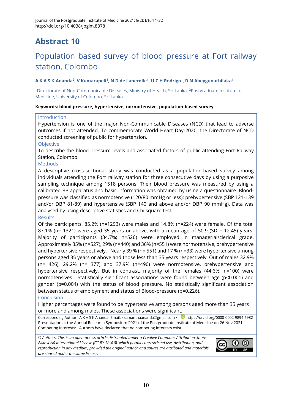### Population based survey of blood pressure at Fort railway station, Colombo

#### **A K A S K Ananda<sup>2</sup> , V Kumarapeli<sup>1</sup> , N D de Lanerolle<sup>1</sup> , U C H Rodrigo<sup>1</sup> , D N Abeygunathilaka<sup>1</sup>**

<sup>1</sup>Directorate of Non-Communicable Diseases, Ministry of Health, Sri Lanka, <sup>2</sup>Postgraduate Institute of Medicine, University of Colombo, Sri Lanka

#### **Keywords: blood pressure, hypertensive, normotensive, population-based survey**

#### Introduction

Hypertension is one of the major Non-Communicable Diseases (NCD) that lead to adverse outcomes if not attended. To commemorate World Heart Day-2020, the Directorate of NCD conducted screening of public for hypertension.

#### **Objective**

To describe the blood pressure levels and associated factors of public attending Fort-Railway Station, Colombo.

#### Methods

A descriptive cross-sectional study was conducted as a population-based survey among individuals attending the Fort railway station for three consecutive days by using a purposive sampling technique among 1518 persons. Their blood pressure was measured by using a calibrated BP apparatus and basic information was obtained by using a questionnaire. Bloodpressure was classified as normotensive (120/80 mmHg or less); prehypertensive (SBP 121-139 and/or DBP 81-89) and hypertensive (SBP 140 and above and/or DBP 90 mmHg). Data was analysed by using descriptive statistics and Chi square test.

#### **Results**

Of the participants, 85.2% (n=1293) were males and 14.8% (n=224) were female. Of the total 87.1% (n= 1321) were aged 35 years or above, with a mean age of 50.9 (SD = 12.45) years. Majority of participants (34.7%; n=526) were employed in managerial/clerical grade. Approximately 35% (n=527), 29% (n=440) and 36% (n=551) were normotensive, prehypertensive and hypertensive respectively. Nearly 39 % (n= 551) and 17 % (n=33) were hypertensive among persons aged 35 years or above and those less than 35 years respectively. Out of males 32.9% (n= 426), 29.2% (n= 377) and 37.9% (n=490) were normotensive, prehypertensive and hypertensive respectively. But in contrast, majority of the females (44.6%, n=100) were normotensives. Statistically significant associations were found between age (p<0.001) and gender (p=0.004) with the status of blood pressure. No statistically significant association between status of employment and status of Blood-pressure (p=0.226).

#### Conclusion

Higher percentages were found to be hypertensive among persons aged more than 35 years or more and among males. These associations were significant.

Corresponding Author: A K A S K Ananda Email: [<samanthaananda@gmail.com>](mailto:samanthaananda@gmail.com) D<https://orcid.org/0000-0002-9894-6982> Presentation at the Annual Research Symposium 2021 of the Postgraduate Institute of Medicine on 26 Nov 2021. Competing Interests: Authors have declared that no competing interests exist.

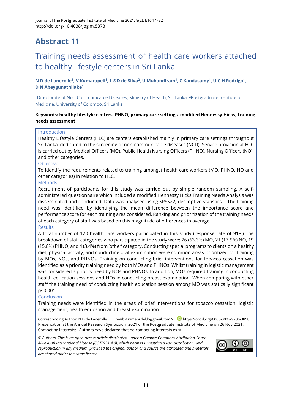### Training needs assessment of health care workers attached to healthy lifestyle centers in Sri Lanka

**N D de Lanerolle<sup>1</sup> , V Kumarapeli<sup>1</sup> , L S D de Silva<sup>2</sup> , U Muhandiram<sup>1</sup> , C Kandasamy<sup>1</sup> , U C H Rodrigo<sup>1</sup> , D N Abeygunathilake<sup>1</sup>**

<sup>1</sup>Directorate of Non-Communicable Diseases, Ministry of Health, Sri Lanka, <sup>2</sup>Postgraduate Institute of Medicine, University of Colombo, Sri Lanka

#### **Keywords: healthy lifestyle centers, PHNO, primary care settings, modified Hennessy Hicks, training needs assessment**

#### **Introduction**

Healthy Lifestyle Centers (HLC) are centers established mainly in primary care settings throughout Sri Lanka, dedicated to the screening of non-communicable diseases (NCD). Service provision at HLC is carried out by Medical Officers (MO), Public Health Nursing Officers (PHNO), Nursing Officers (NO), and other categories.

#### Objective

To identify the requirements related to training amongst health care workers (MO, PHNO, NO and other categories) in relation to HLC.

#### Methods

Recruitment of participants for this study was carried out by simple random sampling. A selfadministered questionnaire which included a modified Hennessy Hicks Training Needs Analysis was disseminated and conducted. Data was analysed using SPSS22, descriptive statistics. The training need was identified by identifying the mean difference between the importance score and performance score for each training area considered. Ranking and prioritization of the training needs of each category of staff was based on this magnitude of differences in average.

#### Results

A total number of 120 health care workers participated in this study (response rate of 91%) The breakdown of staff categories who participated in the study were: 76 (63.3%) MO, 21 (17.5%) NO, 19 (15.8%) PHNO, and 4 (3.4%) from 'other' category. Conducting special programs to clients on a healthy diet, physical activity, and conducting oral examination were common areas prioritized for training by MOs, NOs, and PHNOs. Training on conducting brief interventions for tobacco cessation was identified as a priority training need by both MOs and PHNOs. Whilst training in logistic management was considered a priority need by NOs and PHNOs. In addition, MOs required training in conducting health education sessions and NOs in conducting breast examination. When comparing with other staff the training need of conducting health education session among MO was statically significant p<0.001.

#### Conclusion

Training needs were identified in the areas of brief interventions for tobacco cessation, logistic management, health education and breast examination.

Corresponding Author: N D de Lanerolle Email: [< nimani.del.b@gmail.com](mailto:nimani.del.b@gmail.com) > D <https://orcid.org/0000-0002-9236-3858> Presentation at the Annual Research Symposium 2021 of the Postgraduate Institute of Medicine on 26 Nov 2021. Competing Interests: Authors have declared that no competing interests exist.

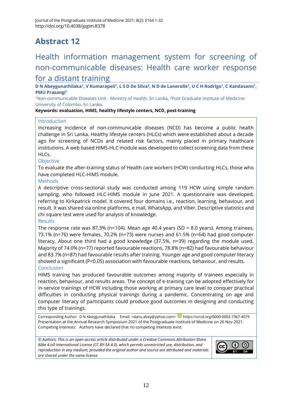### Health information management system for screening of non-communicable diseases: Health care worker response for a distant training

**D N Abeygunathilaka<sup>1</sup> , V Kumarapeli<sup>1</sup> , L S D De Silva<sup>2</sup> , N D de Lanerolle<sup>1</sup> , U C H Rodrigo<sup>1</sup> , C Kandasami<sup>1</sup> , PMU Prasangi<sup>1</sup>**

<sup>1</sup>Non-communicable Diseases Unit - Ministry of Health, Sri Lanka, <sup>2</sup>Post Graduate Institute of Medicine-University of Colombo, Sri Lanka.

**Keywords: evaluation, HIMS, healthy lifestyle centers, NCD, post-training**

#### Introduction

Increasing incidence of non-communicable diseases (NCD) has become a public health challenge in Sri Lanka. Healthy lifestyle centers (HLCs) which were established about a decade ago for screening of NCDs and related risk factors, mainly placed in primary healthcare institutions. A web based HIMS-HLC module was developed to collect screening data from these HLCs.

#### **Objective**

To evaluate the after-training status of Health care workers (HCW) conducting HLCs, those who have completed HLC-HIMS module.

#### **Methods**

A descriptive cross-sectional study was conducted among 119 HCW using simple random sampling, who followed HLC-HIMS module in June 2021. A questionnaire was developed, referring to Kirkpatrick model. It covered four domains i.e., reaction, learning, behaviour, and result. It was shared via online platforms, e mail, WhatsApp, and Viber. Descriptive statistics and chi square test were used for analysis of knowledge.

#### **Results**

The response rate was 87.3% (n=104). Mean age 40.4 years (SD = 8.0 years). Among trainees, 73.1% (n=76) were females, 70.2% (n=73) were nurses and 61.5% (n=64) had good computer literacy. About one third had a good knowledge (37.5%, n=39) regarding the module used. Majority of 74.0% (n=77) reported favourable reactions, 78.8% (n=82) had favourable behaviour and 83.7% (n=87) had favourable results after training. Younger age and good computer literacy showed a significant (P<0.05) association with favourable reactions, behaviour, and results. Conclusion

HIMS training has produced favourable outcomes among majority of trainees especially in reaction, behaviour, and results areas. The concept of e-training can be adopted effectively for in-service trainings of HCW including those working at primary care level to conquer practical difficulties in conducting physical trainings during a pandemic. Concentrating on age and computer literacy of participants could produce good outcomes in designing and conducting this type of trainings.

Corresponding Author: D N Abeygunathilaka Email: [<danu.abey@yahoo.com>](mailto:danu.abey@yahoo.com) **D** <https://orcid.org/0000-0002-7367-4079> Presentation at the Annual Research Symposium 2021 of the Postgraduate Institute of Medicine on 26 Nov 2021. Competing Interests: Authors have declared that no competing interests exist.

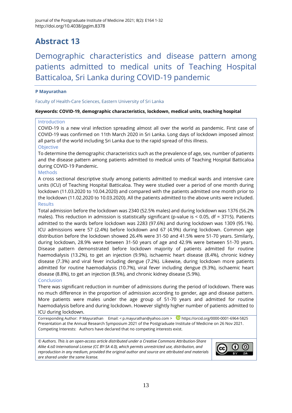### Demographic characteristics and disease pattern among patients admitted to medical units of Teaching Hospital Batticaloa, Sri Lanka during COVID-19 pandemic

#### **P Mayurathan**

Faculty of Health-Care Sciences, Eastern University of Sri Lanka

#### **Keywords: COVID-19, demographic characteristics, lockdown, medical units, teaching hospital**

#### Introduction

COVID-19 is a new viral infection spreading almost all over the world as pandemic. First case of COVID-19 was confirmed on 11th March 2020 in Sri Lanka. Long days of lockdown imposed almost all parts of the world including Sri Lanka due to the rapid spread of this illness. Objective

To determine the demographic characteristics such as the prevalence of age, sex, number of patients and the disease pattern among patients admitted to medical units of Teaching Hospital Batticaloa during COVID-19 Pandemic.

#### Methods

A cross sectional descriptive study among patients admitted to medical wards and intensive care units (ICU) of Teaching Hospital Batticaloa. They were studied over a period of one month during lockdown (11.03.2020 to 10.04.2020) and compared with the patients admitted one month prior to the lockdown (11.02.2020 to 10.03.2020). All the patients admitted to the above units were included. Results

Total admission before the lockdown was 2340 (52.5% males) and during lockdown was 1376 (56.2% males). This reduction in admission is statistically significant (p-value is < 0.05, df = 3715). Patients admitted to the wards before lockdown was 2283 (97.6%) and during lockdown was 1309 (95.1%). ICU admissions were 57 (2.4%) before lockdown and 67 (4.9%) during lockdown. Common age distribution before the lockdown showed 26.4% were 31-50 and 41.5% were 51-70 years. Similarly, during lockdown, 28.9% were between 31-50 years of age and 42.9% were between 51-70 years. Disease pattern demonstrated before lockdown majority of patients admitted for routine haemodialysis (13.2%), to get an injection (9.9%), ischaemic heart disease (8.4%), chronic kidney disease (7.3%) and viral fever including dengue (7.2%). Likewise, during lockdown more patients admitted for routine haemodialysis (10.7%), viral fever including dengue (9.3%), ischaemic heart disease (8.8%), to get an injection (8.5%), and chronic kidney disease (5.9%).

#### Conclusion

There was significant reduction in number of admissions during the period of lockdown. There was no much difference in the proportion of admission according to gender, age and disease pattern. More patients were males under the age group of 51-70 years and admitted for routine haemodialysis before and during lockdown. However slightly higher number of patients admitted to ICU during lockdown.

Corresponding Author: P Mayurathan Email: [< p.mayurathan@yahoo.com](mailto:p.mayurathan@yahoo.com) > D <https://orcid.org/0000-0001-6964-5825> Presentation at the Annual Research Symposium 2021 of the Postgraduate Institute of Medicine on 26 Nov 2021. Competing Interests: Authors have declared that no competing interests exist.

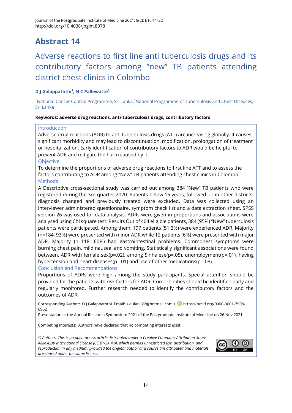### Adverse reactions to first line anti tuberculosis drugs and its contributory factors among "new" TB patients attending district chest clinics in Colombo

#### **D J Galappaththi<sup>1</sup> , N C Pallewatte<sup>2</sup>**

<sup>1</sup>National Cancer Control Programme, Sri Lanka,<sup>2</sup>National Programme of Tuberculosis and Chest Diseases, Sri Lanka

#### **Keywords: adverse drug reactions, anti-tuberculosis drugs, contributory factors**

#### Introduction

Adverse drug reactions (ADR) to anti tuberculosis drugs (ATT) are increasing globally. It causes significant morbidity and may lead to discontinuation, modification, prolongation of treatment or hospitalization. Early identification of contributory factors to ADR would be helpful to prevent ADR and mitigate the harm caused by it.

#### **Objective**

To determine the proportions of adverse drug reactions to first line ATT and to assess the factors contributing to ADR among "New" TB patients attending chest clinics in Colombo. Methods

A Descriptive cross-sectional study was carried out among 384 "New" TB patients who were registered during the 3rd quarter 2020. Patients below 15 years, followed up in other districts, diagnosis changed and previously treated were excluded. Data was collected using an interviewer administered questionnaire, symptom check list and a data extraction sheet. SPSS version 26 was used for data analysis. ADRs were given in proportions and associations were analysed using Chi square test. Results Out of 404 eligible patients, 384 (95%) "New" tuberculosis patients were participated. Among them, 197 patients (51.3%) were experienced ADR. Majority (n=184, 93%) were presented with minor ADR while 12 patients (6%) were presented with major ADR. Majority (n=118 ,60%) had gastrointestinal problems. Commonest symptoms were burning chest pain, mild nausea, and vomiting. Statistically significant associations were found between, ADR with female sex(p=.02), among Sinhalese(p=.05), unemployment(p=.01), having hypertension and heart diseases(p=.01) and use of other medications(p=.03).

#### Conclusion and Recommendations

Proportions of ADRs were high among the study participants. Special attention should be provided for the patients with risk factors for ADR. Comorbidities should be identified early and regularly monitored. Further research needed to identify the contributory factors and the outcomes of ADR.

Corresponding Author: D J Galappaththi Email: [< dulanji22@hotmail.com](mailto:dulanji22@hotmail.com) > D [https://orcid.org/0000-0001-7908-](https://orcid.org/0000-0001-7908-0952) [0952](https://orcid.org/0000-0001-7908-0952)

Presentation at the Annual Research Symposium 2021 of the Postgraduate Institute of Medicine on 26 Nov 2021.

Competing Interests: Authors have declared that no competing interests exist.

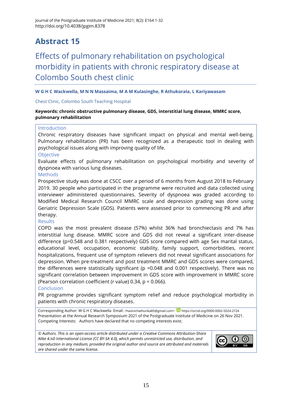### Effects of pulmonary rehabilitation on psychological morbidity in patients with chronic respiratory disease at Colombo South chest clinic

#### **W G H C Wackwella, M N N Massaima, M A M Kulasinghe, R Athukorala, L Kariyawasam**

Chest Clinic, Colombo South Teaching Hospital

#### **Keywords: chronic obstructive pulmonary disease, GDS, interstitial lung disease, MMRC score, pulmonary rehabilitation**

#### Introduction

Chronic respiratory diseases have significant impact on physical and mental well-being. Pulmonary rehabilitation (PR) has been recognized as a therapeutic tool in dealing with psychological issues along with improving quality of life.

#### **Objective**

Evaluate effects of pulmonary rehabilitation on psychological morbidity and severity of dyspnoea with various lung diseases.

#### Methods

Prospective study was done at CSCC over a period of 6 months from August 2018 to February 2019. 30 people who participated in the programme were recruited and data collected using interviewer administered questionnaires. Severity of dyspnoea was graded according to Modified Medical Research Council MMRC scale and depression grading was done using Geriatric Depression Scale (GDS). Patients were assessed prior to commencing PR and after therapy.

#### Results

COPD was the most prevalent disease (57%) whilst 36% had bronchiectasis and 7% has interstitial lung disease. MMRC score and GDS did not reveal a significant inter-disease difference (p=0.548 and 0.381 respectively) GDS score compared with age Sex marital status, educational level, occupation, economic stability, family support, comorbidities, recent hospitalizations, frequent use of symptom relievers did not reveal significant associations for depression. When pre-treatment and post treatment MMRC and GDS scores were compared, the differences were statistically significant (p =0.048 and 0.001 respectively). There was no significant correlation between improvement in GDS score with improvement in MMRC score (Pearson correlation coefficient (r value) 0.34, p = 0.066).

#### Conclusion

PR programme provides significant symptom relief and reduce psychological morbidity in patients with chronic respiratory diseases.

Corresponding Author: W G H C Wackwella Email: [<hasinichathurika85@gmail.com>](mailto:hasinichathurika85@gmail.com) D <https://orcid.org/0000-0002-5024-2724> Presentation at the Annual Research Symposium 2021 of the Postgraduate Institute of Medicine on 26 Nov 2021. Competing Interests: Authors have declared that no competing interests exist.

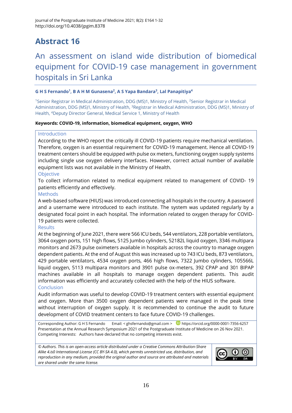### An assessment on island wide distribution of biomedical equipment for COVID-19 case management in government hospitals in Sri Lanka

#### **G H S Fernando<sup>1</sup> , B A H M Gunasena<sup>2</sup> , A S Yapa Bandara<sup>3</sup> , Lal Panapitiya<sup>4</sup>**

<sup>1</sup>Senior Registrar in Medical Administration, DDG (MS)1, Ministry of Health, <sup>2</sup>Senior Registrar in Medical Administration, DDG (MS)1, Ministry of Health, <sup>3</sup>Registrar in Medical Administration, DDG (MS)1, Ministry of Health, <sup>4</sup>Deputy Director General, Medical Service 1, Ministry of Health

#### **Keywords: COVID-19, information, biomedical equipment, oxygen, WHO**

#### Introduction

According to the WHO report the critically ill COVID-19 patients require mechanical ventilation. Therefore, oxygen is an essential requirement for COVID-19 management. Hence all COVID-19 treatment centers should be equipped with pulse ox meters, functioning oxygen supply systems including single use oxygen delivery interfaces. However, correct actual number of available equipment lists was not available in the Ministry of Health.

#### **Objective**

To collect information related to medical equipment related to management of COVID- 19 patients efficiently and effectively.

#### **Methods**

A web-based software (HIUS) was introduced connecting all hospitals in the country. A password and a username were introduced to each institute. The system was updated regularly by a designated focal point in each hospital. The information related to oxygen therapy for COVID-19 patients were collected.

#### Results

At the beginning of June 2021, there were 566 ICU beds, 544 ventilators, 228 portable ventilators, 3064 oxygen ports, 151 high flows, 5125 Jumbo cylinders, 52182L liquid oxygen, 3346 multipara monitors and 2673 pulse oximeters available in hospitals across the country to manage oxygen dependent patients. At the end of August this was increased up to 743 ICU beds, 873 ventilators, 429 portable ventilators, 4534 oxygen ports, 466 high flows, 7322 Jumbo cylinders, 105566L liquid oxygen, 5113 multipara monitors and 3901 pulse ox-meters, 392 CPAP and 301 BIPAP machines available in all hospitals to manage oxygen dependent patients. This audit information was efficiently and accurately collected with the help of the HIUS software.

#### Conclusion

Audit information was useful to develop COVID-19 treatment centers with essential equipment and oxygen. More than 3500 oxygen dependent patients were managed in the peak time without interruption of oxygen supply. It is recommended to continue the audit to future development of COVID treatment centers to face future COVID-19 challenges.

Corresponding Author: G H S Fernando Email: [< ghsfernando@gmail.com](mailto:ghsfernando@gmail.com) > Deltitions://orcid.org/0000-0001-7356-6257 Presentation at the Annual Research Symposium 2021 of the Postgraduate Institute of Medicine on 26 Nov 2021. Competing Interests: Authors have declared that no competing interests exist.

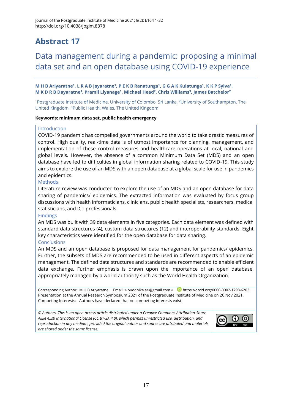### Data management during a pandemic: proposing a minimal data set and an open database using COVID-19 experience

**M H B Ariyaratne<sup>1</sup> , L R A B Jayaratne<sup>1</sup> , P E K B Ranatunga<sup>1</sup> , G G A K Kulatunga<sup>1</sup> , K K P Sylva<sup>1</sup> , M K D R B Dayaratne<sup>1</sup> , Pramil Liyanage<sup>1</sup> , Michael Head<sup>2</sup> , Chris Williams<sup>3</sup> , James Batchelor<sup>2</sup>**

<sup>1</sup>Postgraduate Institute of Medicine, University of Colombo, Sri Lanka, <sup>2</sup>University of Southampton, The United Kingdom, <sup>3</sup>Public Health, Wales, The United Kingdom

#### **Keywords: minimum data set, public health emergency**

#### Introduction

COVID-19 pandemic has compelled governments around the world to take drastic measures of control. High quality, real-time data is of utmost importance for planning, management, and implementation of these control measures and healthcare operations at local, national and global levels. However, the absence of a common Minimum Data Set (MDS) and an open database have led to difficulties in global information sharing related to COVID-19. This study aims to explore the use of an MDS with an open database at a global scale for use in pandemics and epidemics.

#### Methods

Literature review was conducted to explore the use of an MDS and an open database for data sharing of pandemics/ epidemics. The extracted information was evaluated by focus group discussions with health informaticians, clinicians, public health specialists, researchers, medical statisticians, and ICT professionals.

#### Findings

An MDS was built with 39 data elements in five categories. Each data element was defined with standard data structures (4), custom data structures (12) and interoperability standards. Eight key characteristics were identified for the open database for data sharing.

#### Conclusions

An MDS and an open database is proposed for data management for pandemics/ epidemics. Further, the subsets of MDS are recommended to be used in different aspects of an epidemic management. The defined data structures and standards are recommended to enable efficient data exchange. Further emphasis is drawn upon the importance of an open database, appropriately managed by a world authority such as the World Health Organization.

Corresponding Author: M H B Ariyaratne Email: [< buddhika.ari@gmail.com](mailto:buddhika.ari@gmail.com) > D <https://orcid.org/0000-0002-1798-6203> Presentation at the Annual Research Symposium 2021 of the Postgraduate Institute of Medicine on 26 Nov 2021. Competing Interests: Authors have declared that no competing interests exist.

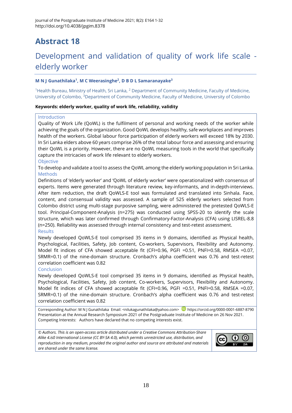### Development and validation of quality of work life scale elderly worker

#### **M N J Gunathilaka<sup>1</sup> , M C Weerasinghe<sup>2</sup> , D B D L Samaranayake<sup>3</sup>**

<sup>1</sup>Health Bureau, Ministry of Health, Sri Lanka, <sup>2</sup> Department of Community Medicine, Faculty of Medicine, University of Colombo, <sup>3</sup>Department of Community Medicine, Faculty of Medicine, University of Colombo

#### **Keywords: elderly worker, quality of work life, reliability, validity**

#### Introduction

Quality of Work Life (QoWL) is the fulfilment of personal and working needs of the worker while achieving the goals of the organization. Good QoWL develops healthy, safe workplaces and improves health of the workers. Global labour force participation of elderly workers will exceed 18% by 2030. In Sri Lanka elders above 60 years comprise 26% of the total labour force and assessing and ensuring their QoWL is a priority. However, there are no QoWL measuring tools in the world that specifically capture the intricacies of work life relevant to elderly workers.

#### Objective

To develop and validate a tool to assess the QoWL among the elderly working population in Sri Lanka. Methods

Definitions of 'elderly worker' and 'QoWL of elderly worker' were operationalized with consensus of experts. Items were generated through literature review, key-informants, and in-depth-interviews. After item reduction, the draft QoWLS-E tool was formulated and translated into Sinhala. Face, content, and consensual validity was assessed. A sample of 525 elderly workers selected from Colombo district using multi-stage purposive sampling, were administered the pretested QoWLS-E tool. Principal-Component-Analysis (n=275) was conducted using SPSS-20 to identify the scale structure, which was later confirmed through Confirmatory-Factor-Analysis (CFA) using LISREL-8.8 (n=250). Reliability was assessed through internal consistency and test-retest assessment. **Results** 

Newly developed QoWLS-E tool comprised 35 items in 9 domains, identified as Physical health, Psychological, Facilities, Safety, Job content, Co-workers, Supervisors, Flexibility and Autonomy. Model fit indices of CFA showed acceptable fit (CFI=0.96, PGFI =0.51, PNFI=0.58, RMSEA =0.07, SRMR=0.1) of the nine-domain structure. Cronbach's alpha coefficient was 0.76 and test-retest correlation coefficient was 0.82

#### Conclusion

Newly developed QoWLS-E tool comprised 35 items in 9 domains, identified as Physical health, Psychological, Facilities, Safety, Job content, Co-workers, Supervisors, Flexibility and Autonomy. Model fit indices of CFA showed acceptable fit (CFI=0.96, PGFI =0.51, PNFI=0.58, RMSEA =0.07, SRMR=0.1) of the nine-domain structure. Cronbach's alpha coefficient was 0.76 and test-retest correlation coefficient was 0.82

Corresponding Author: M N J Gunathilaka Email: [<nilukagunathilaka@yahoo.com>](mailto:nilukagunathilaka@yahoo.com) D<https://orcid.org/0000-0001-6887-8790> Presentation at the Annual Research Symposium 2021 of the Postgraduate Institute of Medicine on 26 Nov 2021. Competing Interests: Authors have declared that no competing interests exist.

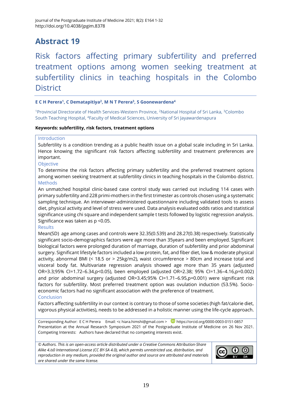Risk factors affecting primary subfertility and preferred treatment options among women seeking treatment at subfertility clinics in teaching hospitals in the Colombo **District** 

#### **E C H Perera<sup>1</sup> , C Dematapitiya<sup>2</sup> , M N T Perera<sup>3</sup> , S Goonewardena<sup>4</sup>**

<sup>1</sup>Provincial Directorate of Health Services-Western Province, <sup>2</sup>National Hospital of Sri Lanka, <sup>3</sup>Colombo South Teaching Hospital, <sup>4</sup>Faculty of Medical Sciences, University of Sri Jayawardenapura

#### **Keywords: subfertility, risk factors, treatment options**

#### Introduction

Subfertility is a condition trending as a public health issue on a global scale including in Sri Lanka. Hence knowing the significant risk factors affecting subfertility and treatment preferences are important.

#### Objective

To determine the risk factors affecting primary subfertility and the preferred treatment options among women seeking treatment at subfertility clinics in teaching hospitals in the Colombo district. **Methods** 

An unmatched hospital clinic-based case control study was carried out including 114 cases with primary subfertility and 228 primi-mothers in the first trimester as controls chosen using a systematic sampling technique. An interviewer-administered questionnaire including validated tools to assess diet, physical activity and level of stress were used. Data analysis evaluated odds ratios and statistical significance using chi square and independent sample t tests followed by logistic regression analysis. Significance was taken as p <0.05.

#### Results

Mean(SD) age among cases and controls were 32.35(0.539) and 28.27(0.38) respectively. Statistically significant socio-demographics factors were age more than 35years and been employed. Significant biological factors were prolonged duration of marriage, duration of subfertility and prior abdominal surgery. Significant lifestyle factors included a low protein, fat, and fiber diet, low & moderate physical activity, abnormal BMI (< 18.5 or > 25kg/m2), waist circumference > 80cm and increase total and visceral body fat. Multivariate regression analysis showed age more than 35 years (adjusted OR=3.3;95% CI=1.72–6.34,p<0.05), been employed (adjusted OR=2.38; 95% CI=1.36–4.16,p=0.002) and prior abdominal surgery (adjusted OR=3.45;95% CI=1.71–6.95,p=0.001) were significant risk factors for subfertility. Most preferred treatment option was ovulation induction (53.5%). Socioeconomic factors had no significant association with the preference of treatment. Conclusion

Factors affecting subfertility in our context is contrary to those of some societies (high fat/calorie diet, vigorous physical activities), needs to be addressed in a holistic manner using the life-cycle approach.

Corresponding Author: E C H Perera Email: <[c hiara.himshi@gmail.com](mailto:hiara.himshi@gmail.com) > D <https://orcid.org/0000-0003-0151-0857> Presentation at the Annual Research Symposium 2021 of the Postgraduate Institute of Medicine on 26 Nov 2021. Competing Interests: Authors have declared that no competing interests exist.

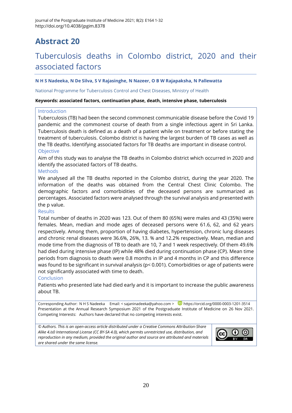### Tuberculosis deaths in Colombo district, 2020 and their associated factors

#### **N H S Nadeeka, N De Silva, S V Rajasinghe, N Nazeer, O B W Rajapaksha, N Pallewatta**

#### National Programme for Tuberculosis Control and Chest Diseases, Ministry of Health

#### **Keywords: associated factors, continuation phase, death, intensive phase, tuberculosis**

#### Introduction

Tuberculosis (TB) had been the second commonest communicable disease before the Covid 19 pandemic and the commonest course of death from a single infectious agent in Sri Lanka. Tuberculosis death is defined as a death of a patient while on treatment or before stating the treatment of tuberculosis. Colombo district is having the largest burden of TB cases as well as the TB deaths. Identifying associated factors for TB deaths are important in disease control. Objective

Aim of this study was to analyse the TB deaths in Colombo district which occurred in 2020 and identify the associated factors of TB deaths.

#### Methods

We analysed all the TB deaths reported in the Colombo district, during the year 2020. The information of the deaths was obtained from the Central Chest Clinic Colombo. The demographic factors and comorbidities of the deceased persons are summarized as percentages. Associated factors were analysed through the survival analysis and presented with the p value.

#### **Results**

Total number of deaths in 2020 was 123. Out of them 80 (65%) were males and 43 (35%) were females. Mean, median and mode ages of deceased persons were 61.6, 62, and 62 years respectively. Among them, proportion of having diabetes, hypertension, chronic lung diseases and chronic renal diseases were 36.6%, 26%, 13. % and 12.2% respectively. Mean, median and mode time from the diagnosis of TB to death are 10, 7 and 1 week respectively. Of them 49.6% had died during intensive phase (IP) while 48% died during continuation phase (CP). Mean time periods from diagnosis to death were 0.8 months in IP and 4 months in CP and this difference was found to be significant in survival analysis (p< 0.001). Comorbidities or age of patients were not significantly associated with time to death.

#### Conclusion

Patients who presented late had died early and it is important to increase the public awareness about TB.

Corresponding Author: N H S Nadeeka Email: [< sajaninadeeka@yahoo.com](mailto:sajaninadeeka@yahoo.com) > D <https://orcid.org/0000-0003-1201-3514> Presentation at the Annual Research Symposium 2021 of the Postgraduate Institute of Medicine on 26 Nov 2021. Competing Interests: Authors have declared that no competing interests exist.

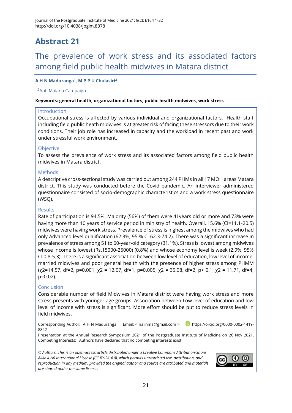### The prevalence of work stress and its associated factors among field public health midwives in Matara district

#### **A H N Maduranga<sup>1</sup> , M P P U Chulasiri<sup>2</sup>**

#### 1,2Anti Malaria Campaign

#### **Keywords: general health, organizational factors, public health midwives, work stress**

#### Introduction

Occupational stress is affected by various individual and organizational factors. Health staff including field public heath midwives is at greater risk of facing these stressors due to their work conditions. Their job role has increased in capacity and the workload in recent past and work under stressful work environment.

#### **Objective**

To assess the prevalence of work stress and its associated factors among field public health midwives in Matara district.

#### **Methods**

A descriptive cross-sectional study was carried out among 244 PHMs in all 17 MOH areas Matara district. This study was conducted before the Covid pandemic. An interviewer administered questionnaire consisted of socio-demographic characteristics and a work stress questionnaire (WSQ).

#### Results

Rate of participation is 94.5%. Majority (56%) of them were 41years old or more and 73% were having more than 10 years of service period in ministry of health. Overall, 15.6% (CI=11.1-20.5) midwives were having work stress. Prevalence of stress is highest among the midwives who had only Advanced level qualification (62.3%, 95 % CI 62.3-74.2). There was a significant increase in prevalence of stress among 51 to 60-year-old category (31.1%). Stress is lowest among midwives whose income is lowest (Rs.15000-25000) (0.8%) and whose economy level is week (2.9%, 95% CI 0.8-5.3). There is a significant association between low level of education, low level of income, married midwives and poor general health with the presence of higher stress among PHMM  $(x2=14.57, df=2, p=0.001, x2 = 12.07, df=1, p=0.005, x2 = 35.08, df=2, p<0.1, x2 = 11.71, df=4,$ p=0.02).

#### Conclusion

Considerable number of field Midwives in Matara district were having work stress and more stress presents with younger age groups. Association between Low level of education and low level of income with stress is significant. More effort should be put to reduce stress levels in field midwives.

Corresponding Author: A H N Maduranga Email: < [nalinma@gmail.com](mailto:nalinma@gmail.com) > **D** [https://orcid.org/0000-0002-1419-](https://orcid.org/0000-0002-1419-8842) [8842](https://orcid.org/0000-0002-1419-8842)

Presentation at the Annual Research Symposium 2021 of the Postgraduate Institute of Medicine on 26 Nov 2021. Competing Interests: Authors have declared that no competing interests exist.

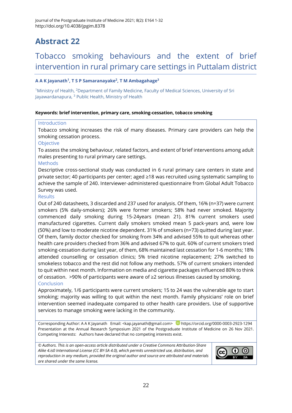### Tobacco smoking behaviours and the extent of brief intervention in rural primary care settings in Puttalam district

#### **A A K Jayanath<sup>1</sup> , T S P Samaranayake<sup>2</sup> , T M Ambagahage<sup>3</sup>**

<sup>1</sup>Ministry of Health, <sup>2</sup>Department of Family Medicine, Faculty of Medical Sciences, University of Sri Jayawardanapura, <sup>3</sup> Public Health, Ministry of Health

#### **Keywords: brief intervention, primary care, smoking-cessation, tobacco smoking**

#### Introduction

Tobacco smoking increases the risk of many diseases. Primary care providers can help the smoking cessation process.

#### Objective

To assess the smoking behaviour, related factors, and extent of brief interventions among adult males presenting to rural primary care settings.

#### Methods

Descriptive cross-sectional study was conducted in 6 rural primary care centers in state and private sector; 40 participants per center; aged ≥18 was recruited using systematic sampling to achieve the sample of 240. Interviewer-administered questionnaire from Global Adult Tobacco Survey was used.

#### Results

Out of 240 datasheets, 3 discarded and 237 used for analysis. Of them, 16% (n=37) were current smokers (5% daily-smokers); 26% were former smokers; 58% had never smoked. Majority commenced daily smoking during 15-24years (mean 21). 81% current smokers used manufactured cigarettes. Current daily smokers smoked mean 5 pack-years and, were low (50%) and low to moderate nicotine dependent. 31% of smokers (n=73) quitted during last year. Of them, family doctor checked for smoking from 34% and advised 55% to quit whereas other health care providers checked from 36% and advised 67% to quit. 60% of current smokers tried smoking-cessation during last year, of them, 68% maintained last cessation for 1-6 months; 18% attended counselling or cessation clinics; 5% tried nicotine replacement; 27% switched to smokeless tobacco and the rest did not follow any methods. 57% of current smokers intended to quit within next month. Information on media and cigarette packages influenced 80% to think of cessation. >90% of participants were aware of ≥2 serious illnesses caused by smoking. Conclusion

Approximately, 1/6 participants were current smokers; 15 to 24 was the vulnerable age to start smoking; majority was willing to quit within the next month. Family physicians' role on brief intervention seemed inadequate compared to other health care providers. Use of supportive services to manage smoking were lacking in the community.

Corresponding Author: A A K Jayanath Email: [<kap.jayanath@gmail.com>](mailto:kap.jayanath@gmail.com) D<https://orcid.org/0000-0003-2923-1294> Presentation at the Annual Research Symposium 2021 of the Postgraduate Institute of Medicine on 26 Nov 2021. Competing Interests: Authors have declared that no competing interests exist.

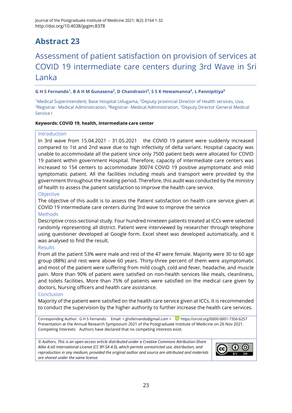### Assessment of patient satisfaction on provision of services at COVID 19 intermediate care centers during 3rd Wave in Sri Lanka

#### **G H S Fernando<sup>1</sup> , B A H M Gunasena<sup>2</sup> , D Chandrasiri<sup>3</sup> , S S K Hewamanna<sup>4</sup> , L Pannipitiya<sup>5</sup>**

<sup>1</sup>Medical Superintendent, Base Hospital Udugama, <sup>2</sup>Deputy provincial Director of Health services, Uva, <sup>3</sup>Registrar- Medical Administration, <sup>4</sup>Registrar- Medical Administration, <sup>5</sup>Deputy Director General Medical Service I

#### **Keywords: COVID 19, health, intermediate care center**

#### Introduction

In 3rd wave from 15.04.2021 - 31.05.2021 the COVID 19 patient were suddenly increased compared to 1st and 2nd wave due to high infectivity of delta variant. Hospital capacity was unable to accommodate all the patient since only 7500 patient beds were allocated for COVID 19 patient within government Hospital. Therefore, capacity of intermediate care centers was increased to 154 centers to accommodate 30074 COVID 19 positive asymptomatic and mild symptomatic patient. All the facilities including meals and transport were provided by the government throughout the treating period. Therefore, this audit was conducted by the ministry of health to assess the patient satisfaction to improve the health care service.

#### **Objective**

The objective of this audit is to assess the Patient satisfaction on health care service given at COVID 19 intermediate care centers during 3rd wave to improve the service

#### **Methods**

Descriptive cross-sectional study. Four hundred nineteen patients treated at ICCs were selected randomly representing all district. Patient were interviewed by researcher through telephone using questioner developed at Google form. Excel sheet was developed automatically, and it was analysed to find the result.

#### **Results**

From all the patient 53% were male and rest of the 47 were female. Majority were 30 to 60 age group (88%) and rest were above 60 years. Thirty-three percent of them were asymptomatic and most of the patient were suffering from mild cough, cold and fever, headache, and muscle pain. More than 90% of patient were satisfied on non-health services like meals, cleanliness, and toilets facilities. More than 75% of patients were satisfied on the medical care given by doctors, Nursing officers and health care assistance.

#### Conclusion

Majority of the patient were satisfied on the health care service given at ICCs. It is recommended to conduct the supervision by the higher authority to further increase the health care services.

Corresponding Author: G H S Fernando Email: [< ghsfernando@gmail.com](mailto:ghsfernando@gmail.com) > D <https://orcid.org/0000-0001-7356-6257> Presentation at the Annual Research Symposium 2021 of the Postgraduate Institute of Medicine on 26 Nov 2021. Competing Interests: Authors have declared that no competing interests exist.

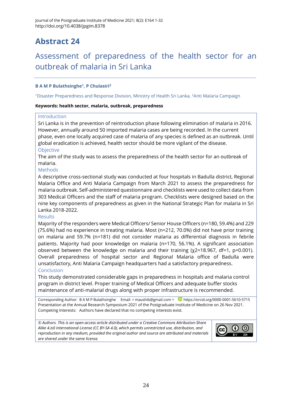### Assessment of preparedness of the health sector for an outbreak of malaria in Sri Lanka

#### **B A M P Bulathsinghe<sup>1</sup> , P Chulasiri<sup>2</sup>**

<sup>1</sup>Disaster Preparedness and Response Division, Ministry of Health Sri Lanka, <sup>2</sup>Anti Malaria Campaign

#### **Keywords: health sector, malaria, outbreak, preparedness**

#### Introduction

Sri Lanka is in the prevention of reintroduction phase following elimination of malaria in 2016. However, annually around 50 imported malaria cases are being recorded. In the current phase, even one locally acquired case of malaria of any species is defined as an outbreak. Until global eradication is achieved, health sector should be more vigilant of the disease.

#### **Objective**

The aim of the study was to assess the preparedness of the health sector for an outbreak of malaria.

#### **Methods**

A descriptive cross-sectional study was conducted at four hospitals in Badulla district, Regional Malaria Office and Anti Malaria Campaign from March 2021 to assess the preparedness for malaria outbreak. Self-administered questionnaire and checklists were used to collect data from 303 Medical Officers and the staff of malaria program. Checklists were designed based on the nine key components of preparedness as given in the National Strategic Plan for malaria in Sri Lanka 2018-2022.

#### Results

Majority of the responders were Medical Officers/ Senior House Officers (n=180, 59.4%) and 229 (75.6%) had no experience in treating malaria. Most (n=212, 70.0%) did not have prior training on malaria and 59.7% (n=181) did not consider malaria as differential diagnosis in febrile patients. Majority had poor knowledge on malaria (n=170, 56.1%). A significant association observed between the knowledge on malaria and their training (χ2=18.967, df=1, p=0.001). Overall preparedness of hospital sector and Regional Malaria office of Badulla were unsatisfactory, Anti Malaria Campaign headquarters had a satisfactory preparedness.

#### Conclusion

This study demonstrated considerable gaps in preparedness in hospitals and malaria control program in district level. Proper training of Medical Officers and adequate buffer stocks maintenance of anti-malarial drugs along with proper infrastructure is recommended.

Corresponding Author: B A M P Bulathsinghe Email: [< maushib@gmail.com](mailto:maushib@gmail.com) > D <https://orcid.org/0000-0001-5610-5715> Presentation at the Annual Research Symposium 2021 of the Postgraduate Institute of Medicine on 26 Nov 2021. Competing Interests: Authors have declared that no competing interests exist.

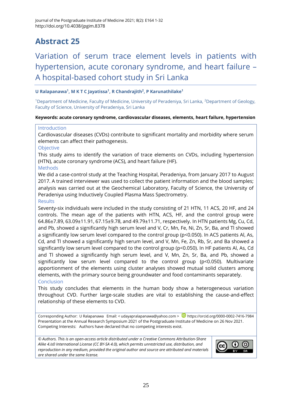### Variation of serum trace element levels in patients with hypertension, acute coronary syndrome, and heart failure – A hospital-based cohort study in Sri Lanka

#### **U Ralapanawa<sup>1</sup> , M K T C Jayatissa<sup>1</sup> , R Chandrajith<sup>2</sup> , P Karunathilake<sup>1</sup>**

<sup>1</sup>Department of Medicine, Faculty of Medicine, University of Peradeniya, Sri Lanka, <sup>2</sup>Department of Geology, Faculty of Science, University of Peradeniya, Sri Lanka

#### **Keywords: acute coronary syndrome, cardiovascular diseases, elements, heart failure, hypertension**

#### Introduction

Cardiovascular diseases (CVDs) contribute to significant mortality and morbidity where serum elements can affect their pathogenesis.

#### Objective

This study aims to identify the variation of trace elements on CVDs, including hypertension (HTN), acute coronary syndrome (ACS), and heart failure (HF).

#### **Methods**

We did a case-control study at the Teaching Hospital, Peradeniya, from January 2017 to August 2017. A trained interviewer was used to collect the patient information and the blood samples; analysis was carried out at the Geochemical Laboratory, Faculty of Science, the University of Peradeniya using Inductively Coupled Plasma Mass Spectrometry.

#### Results

Seventy-six individuals were included in the study consisting of 21 HTN, 11 ACS, 20 HF, and 24 controls. The mean age of the patients with HTN, ACS, HF, and the control group were 64.86±7.89, 63.09±11.91, 67.15±9.78, and 49.79±11.71, respectively. In HTN patients Mg, Cu, Cd, and Pb, showed a significantly high serum level and V, Cr, Mn, Fe, Ni, Zn, Sr, Ba, and Tl showed a significantly low serum level compared to the control group (p<0.050). In ACS patients Al, As, Cd, and Tl showed a significantly high serum level, and V, Mn, Fe, Zn, Rb, Sr, and Ba showed a significantly low serum level compared to the control group (p<0.050). In HF patients Al, As, Cd and Tl showed a significantly high serum level, and V, Mn, Zn, Sr, Ba, and Pb, showed a significantly low serum level compared to the control group (p<0.050). Multivariate apportionment of the elements using cluster analyses showed mutual solid clusters among elements, with the primary source being groundwater and food contaminants separately. Conclusion

This study concludes that elements in the human body show a heterogeneous variation throughout CVD. Further large-scale studies are vital to establishing the cause-and-effect relationship of these elements to CVD.

Corresponding Author: U Ralapanawa Email: < [udayapralapanawa@yahoo.com](mailto:udayapralapanawa@yahoo.com) > D <https://orcid.org/0000-0002-7416-7984> Presentation at the Annual Research Symposium 2021 of the Postgraduate Institute of Medicine on 26 Nov 2021. Competing Interests: Authors have declared that no competing interests exist.

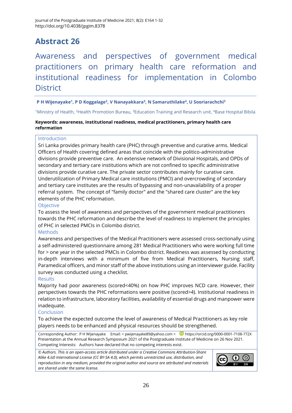Awareness and perspectives of government medical practitioners on primary health care reformation and institutional readiness for implementation in Colombo **District** 

#### **P H Wijenayake<sup>1</sup> , P D Koggalage<sup>2</sup> , V Nanayakkara<sup>3</sup> , N Samaruthilake<sup>4</sup> , U Sooriarachchi<sup>3</sup>**

<sup>1</sup>Ministry of Health, <sup>2</sup>Health Promotion Bureau, <sup>3</sup>Education Training and Research unit, <sup>4</sup>Base Hospital Bibila

#### **Keywords: awareness, institutional readiness, medical practitioners, primary health care reformation**

#### Introduction

Sri Lanka provides primary health care (PHC) through preventive and curative arms. Medical Officers of Health covering defined areas that coincide with the politico-administrative divisions provide preventive care. An extensive network of Divisional Hospitals, and OPDs of secondary and tertiary care institutions which are not confined to specific administrative divisions provide curative care. The private sector contributes mainly for curative care. Underutilization of Primary Medical care institutions (PMCI) and overcrowding of secondary and tertiary care institutes are the results of bypassing and non-unavailability of a proper referral system. The concept of "family doctor" and the "shared care cluster" are the key elements of the PHC reformation.

#### **Objective**

To assess the level of awareness and perspectives of the government medical practitioners towards the PHC reformation and describe the level of readiness to implement the principles of PHC in selected PMCIs in Colombo district.

#### **Methods**

Awareness and perspectives of the Medical Practitioners were assessed cross-sectionally using a self-administered questionnaire among 281 Medical Practitioners who were working full time for > one year in the selected PMCIs in Colombo district. Readiness was assessed by conducting in-depth interviews with a minimum of five from Medical Practitioners, Nursing staff, Paramedical officers, and minor staff of the above institutions using an interviewer guide. Facility survey was conducted using a checklist.

#### **Results**

Majority had poor awareness (scored<40%) on how PHC improves NCD care. However, their perspectives towards the PHC reformations were positive (scored>4). Institutional readiness in relation to infrastructure, laboratory facilities, availability of essential drugs and manpower were inadequate.

#### Conclusion

To achieve the expected outcome the level of awareness of Medical Practitioners as key role players needs to be enhanced and physical resources should be strengthened.

Corresponding Author: P H Wijenayake Email: [< pwijenayake89@yahoo.com](mailto:pwijenayake89@yahoo.com) > D <https://orcid.org/0000-0001-7108-772X> Presentation at the Annual Research Symposium 2021 of the Postgraduate Institute of Medicine on 26 Nov 2021. Competing Interests: Authors have declared that no competing interests exist.

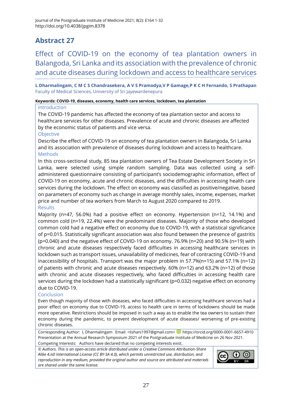Effect of COVID-19 on the economy of tea plantation owners in Balangoda, Sri Lanka and its association with the prevalence of chronic and acute diseases during lockdown and access to healthcare services

**L Dharmalingam, C M C S Chandrasekera, A V S Pramodya,V P Gamage,P K C H Fernando, S Prathapan**  Faculty of Medical Sciences, University of Sri Jayewardenepura

#### **Keywords: COVID-19, diseases, economy, health care services, lockdown, tea plantation**

#### **Introduction**

The COVID-19 pandemic has affected the economy of tea plantation sector and access to healthcare services for other diseases. Prevalence of acute and chronic diseases are affected by the economic status of patients and vice versa.

#### Objective

Describe the effect of COVID-19 on economy of tea plantation owners in Balangoda, Sri Lanka and its association with prevalence of diseases during lockdown and access to healthcare. **Methods** 

In this cross-sectional study, 85 tea plantation owners of Tea Estate Development Society in Sri Lanka, were selected using simple random sampling. Data was collected using a selfadministered questionnaire consisting of participant's sociodemographic information, effect of COVID-19 on economy, acute and chronic diseases, and the difficulties in accessing health care services during the lockdown. The effect on economy was classified as positive/negative, based on parameters of economy such as change in average monthly sales, income, expenses, market price and number of tea workers from March to August 2020 compared to 2019. **Results** 

#### Majority (n=47, 56.0%) had a positive effect on economy. Hypertension (n=12, 14.1%) and common cold (n=19, 22.4%) were the predominant diseases. Majority of those who developed common cold had a negative effect on economy due to COVID-19, with a statistical significance of p=0.015. Statistically significant association was also found between the presence of gastritis (p=0.040) and the negative effect of COVID-19 on economy. 76.9% (n=20) and 90.5% (n=19) with chronic and acute diseases respectively faced difficulties in accessing healthcare services in lockdown such as transport issues, unavailability of medicines, fear of contracting COVID-19 and inaccessibility of hospitals. Transport was the major problem in 57.7%(n=15) and 57.1% (n=12) of patients with chronic and acute diseases respectively. 60% (n=12) and 63.2% (n=12) of those with chronic and acute diseases respectively, who faced difficulties in accessing health care services during the lockdown had a statistically significant (p=0.032) negative effect on economy due to COVID-19.

#### Conclusion

Even though majority of those with diseases, who faced difficulties in accessing healthcare services had a poor effect on economy due to COVID-19, access to health care in terms of lockdowns should be made more operative. Restrictions should be imposed in such a way as to enable the tea owners to sustain their economy during the pandemic, to prevent development of acute diseases/ worsening of pre-existing chronic diseases.

Corresponding Author: L Dharmalingam Email: [<lishani1997@gmail.com>](mailto:lishani1997@gmail.com) D <https://orcid.org/0000-0001-6657-4910> Presentation at the Annual Research Symposium 2021 of the Postgraduate Institute of Medicine on 26 Nov 2021. Competing Interests: Authors have declared that no competing interests exist.

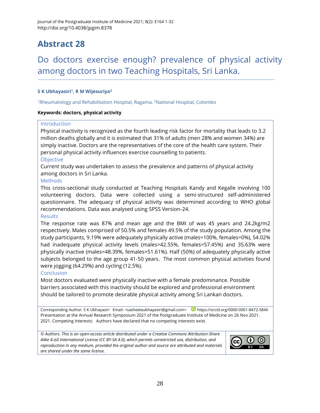### Do doctors exercise enough? prevalence of physical activity among doctors in two Teaching Hospitals, Sri Lanka.

#### **S K Ubhayasiri<sup>1</sup> , R M Wijesuriya<sup>2</sup>**

<sup>1</sup>Rheumatology and Rehabilitation Hospital, Ragama, <sup>2</sup>National Hospital, Colombo

#### **Keywords: doctors, physical activity**

#### Introduction

Physical inactivity is recognized as the fourth leading risk factor for mortality that leads to 3.2 million deaths globally and it is estimated that 31% of adults (men 28% and women 34%) are simply inactive. Doctors are the representatives of the core of the health care system. Their personal physical activity influences exercise counselling to patients.

#### **Objective**

Current study was undertaken to assess the prevalence and patterns of physical activity among doctors in Sri Lanka.

#### Methods

This cross-sectional study conducted at Teaching Hospitals Kandy and Kegalle involving 100 volunteering doctors. Data were collected using a semi-structured self-administered questionnaire. The adequacy of physical activity was determined according to WHO global recommendations. Data was analysed using SPSS Version-24.

#### **Results**

The response rate was 87% and mean age and the BMI of was 45 years and 24.2kg/m2 respectively. Males comprised of 50.5% and females 49.5% of the study population. Among the study participants, 9.19% were adequately physically active (males=100%, females=0%), 54.02% had inadequate physical activity levels (males=42.55%, females=57.45%) and 35.63% were physically inactive (males=48.39%, females=51.61%). Half (50%) of adequately physically active subjects belonged to the age group 41-50 years. The most common physical activities found were jogging (64.29%) and cycling (12.5%).

#### **Conclusion**

Most doctors evaluated were physically inactive with a female predominance. Possible barriers associated with this inactivity should be explored and professional environment should be tailored to promote desirable physical activity among Sri Lankan doctors.

Corresponding Author: S K Ubhayasiri Email: [<sasheelaubhayasiri@gmail.com>](mailto:sasheelaubhayasiri@gmail.com) D<https://orcid.org/0000-0001-8472-584X> Presentation at the Annual Research Symposium 2021 of the Postgraduate Institute of Medicine on 26 Nov 2021. 2021. Competing Interests: Authors have declared that no competing interests exist.

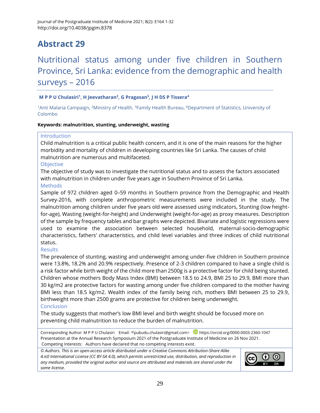### Nutritional status among under five children in Southern Province, Sri Lanka: evidence from the demographic and health surveys – 2016

#### **M P P U Chulasiri<sup>1</sup> , H Jeevatharan<sup>2</sup> , G Pragasan<sup>3</sup> , J H DS P Tissera<sup>4</sup>**

<sup>1</sup>Anti Malaria Campaign, <sup>2</sup>Ministry of Health, <sup>3</sup>Family Health Bureau, <sup>4</sup>Department of Statistics, University of Colombo

#### **Keywords: malnutrition, stunting, underweight, wasting**

#### Introduction

Child malnutrition is a critical public health concern, and it is one of the main reasons for the higher morbidity and mortality of children in developing countries like Sri Lanka. The causes of child malnutrition are numerous and multifaceted.

#### **Objective**

The objective of study was to investigate the nutritional status and to assess the factors associated with malnutrition in children under five years age in Southern Province of Sri Lanka. **Methods** 

Sample of 972 children aged 0–59 months in Southern province from the Demographic and Health Survey-2016, with complete anthropometric measurements were included in the study. The malnutrition among children under five years old were assessed using indicators, Stunting (low heightfor-age), Wasting (weight-for-height) and Underweight (weight-for-age) as proxy measures. Description of the sample by frequency tables and bar graphs were depicted. Bivariate and logistic regressions were used to examine the association between selected household, maternal-socio-demographic characteristics, fathers' characteristics, and child level variables and three indices of child nutritional status.

#### **Results**

The prevalence of stunting, wasting and underweight among under-five children in Southern province were 13.8%, 18.2% and 20.9% respectively. Presence of 2-3 children compared to have a single child is a risk factor while birth weight of the child more than 2500g is a protective factor for child being stunted. Children whose mothers Body Mass Index (BMI) between 18.5 to 24.9, BMI 25 to 29.9, BMI more than 30 kg/m2 are protective factors for wasting among under five children compared to the mother having BMI less than 18.5 kg/m2. Wealth index of the family being rich, mothers BMI between 25 to 29.9, birthweight more than 2500 grams are protective for children being underweight.

#### **Conclusion**

The study suggests that mother's low BMI level and birth weight should be focused more on preventing child malnutrition to reduce the burden of malnutrition.

Corresponding Author: M P P U Chulasiri Email: <[pubudu.chulasiri@gmail.com>](mailto:pubudu.chulasiri@gmail.com) D <https://orcid.org/0000-0003-2360-1047> Presentation at the Annual Research Symposium 2021 of the Postgraduate Institute of Medicine on 26 Nov 2021. Competing Interests: Authors have declared that no competing interests exist.

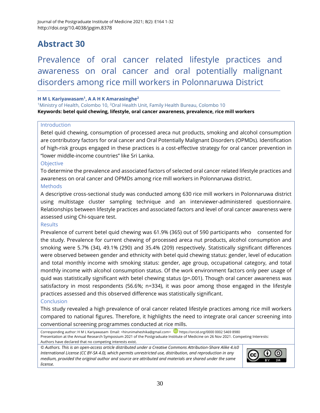Prevalence of oral cancer related lifestyle practices and awareness on oral cancer and oral potentially malignant disorders among rice mill workers in Polonnaruwa District

#### **H M L Kariyawasam<sup>1</sup> , A A H K Amarasinghe<sup>2</sup>**

<sup>1</sup>Ministry of Health, Colombo 10, <sup>2</sup>Oral Health Unit, Family Health Bureau, Colombo 10 **Keywords: betel quid chewing, lifestyle, oral cancer awareness, prevalence, rice mill workers**

#### Introduction

Betel quid chewing, consumption of processed areca nut products, smoking and alcohol consumption are contributory factors for oral cancer and Oral Potentially Malignant Disorders (OPMDs). Identification of high-risk groups engaged in these practices is a cost-effective strategy for oral cancer prevention in "lower middle-income countries" like Sri Lanka.

#### **Objective**

To determine the prevalence and associated factors of selected oral cancer related lifestyle practices and awareness on oral cancer and OPMDs among rice mill workers in Polonnaruwa district. **Methods** 

A descriptive cross-sectional study was conducted among 630 rice mill workers in Polonnaruwa district using multistage cluster sampling technique and an interviewer-administered questionnaire. Relationships between lifestyle practices and associated factors and level of oral cancer awareness were assessed using Chi-square test.

#### **Results**

Prevalence of current betel quid chewing was 61.9% (365) out of 590 participants who consented for the study. Prevalence for current chewing of processed areca nut products, alcohol consumption and smoking were 5.7% (34), 49.1% (290) and 35.4% (209) respectively. Statistically significant differences were observed between gender and ethnicity with betel quid chewing status: gender, level of education and total monthly income with smoking status: gender, age group, occupational category, and total monthly income with alcohol consumption status. Of the work environment factors only peer usage of quid was statistically significant with betel chewing status (p=.001). Though oral cancer awareness was satisfactory in most respondents (56.6%; n=334), it was poor among those engaged in the lifestyle practices assessed and this observed difference was statistically significant.

#### Conclusion

This study revealed a high prevalence of oral cancer related lifestyle practices among rice mill workers compared to national figures. Therefore, it highlights the need to integrate oral cancer screening into conventional screening programmes conducted at rice mills.

Corresponding author: H M L Kariyawasam Email: [<hirunimaheshika@gmail.com>](mailto:hirunimaheshika@gmail.com) D [https://orcid.org/0000 0002 5469 8980](https://orcid.org/0000%200002%205469%208980) Presentation at the Annual Research Symposium 2021 of the Postgraduate Institute of Medicine on 26 Nov 2021. Competing Interests: Authors have declared that no competing interests exist.

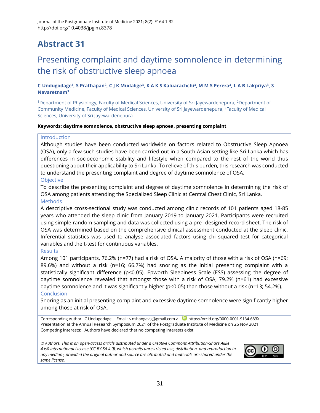### Presenting complaint and daytime somnolence in determining the risk of obstructive sleep apnoea

C Undugodage<sup>1</sup>, S Prathapan<sup>2</sup>, C J K Mudalige<sup>3</sup>, K A K S Kaluarachchi<sup>3</sup>, M M S Perera<sup>3</sup>, L A B Lakpriya<sup>3</sup>, S **Navaretnam<sup>3</sup>**

<sup>1</sup>Department of Physiology, Faculty of Medical Sciences, University of Sri Jayewardenepura, <sup>2</sup>Department of Community Medicine, Faculty of Medical Sciences, University of Sri Jayewardenepura, <sup>3</sup>Faculty of Medical Sciences, University of Sri Jayewardenepura

#### **Keywords: daytime somnolence, obstructive sleep apnoea, presenting complaint**

#### Introduction

Although studies have been conducted worldwide on factors related to Obstructive Sleep Apnoea (OSA), only a few such studies have been carried out in a South Asian setting like Sri Lanka which has differences in socioeconomic stability and lifestyle when compared to the rest of the world thus questioning about their applicability to Sri Lanka. To relieve of this burden, this research was conducted to understand the presenting complaint and degree of daytime somnolence of OSA.

#### Objective

To describe the presenting complaint and degree of daytime somnolence in determining the risk of OSA among patients attending the Specialized Sleep Clinic at Central Chest Clinic, Sri Lanka.

#### **Methods**

A descriptive cross-sectional study was conducted among clinic records of 101 patients aged 18-85 years who attended the sleep clinic from January 2019 to January 2021. Participants were recruited using simple random sampling and data was collected using a pre- designed record sheet. The risk of OSA was determined based on the comprehensive clinical assessment conducted at the sleep clinic. Inferential statistics was used to analyse associated factors using chi squared test for categorical variables and the t-test for continuous variables.

#### **Results**

Among 101 participants, 76.2% (n=77) had a risk of OSA. A majority of those with a risk of OSA (n=69; 89.6%) and without a risk (n=16; 66.7%) had snoring as the initial presenting complaint with a statistically significant difference (p<0.05). Epworth Sleepiness Scale (ESS) assessing the degree of daytime somnolence revealed that amongst those with a risk of OSA, 79.2% (n=61) had excessive daytime somnolence and it was significantly higher (p<0.05) than those without a risk (n=13; 54.2%). **Conclusion** 

Snoring as an initial presenting complaint and excessive daytime somnolence were significantly higher among those at risk of OSA.

Corresponding Author: C Undugodage Email: < [nshangavig@gmail.com](mailto:nshangavig@gmail.com) > D <https://orcid.org/0000-0001-9134-683X> Presentation at the Annual Research Symposium 2021 of the Postgraduate Institute of Medicine on 26 Nov 2021. Competing Interests: Authors have declared that no competing interests exist.